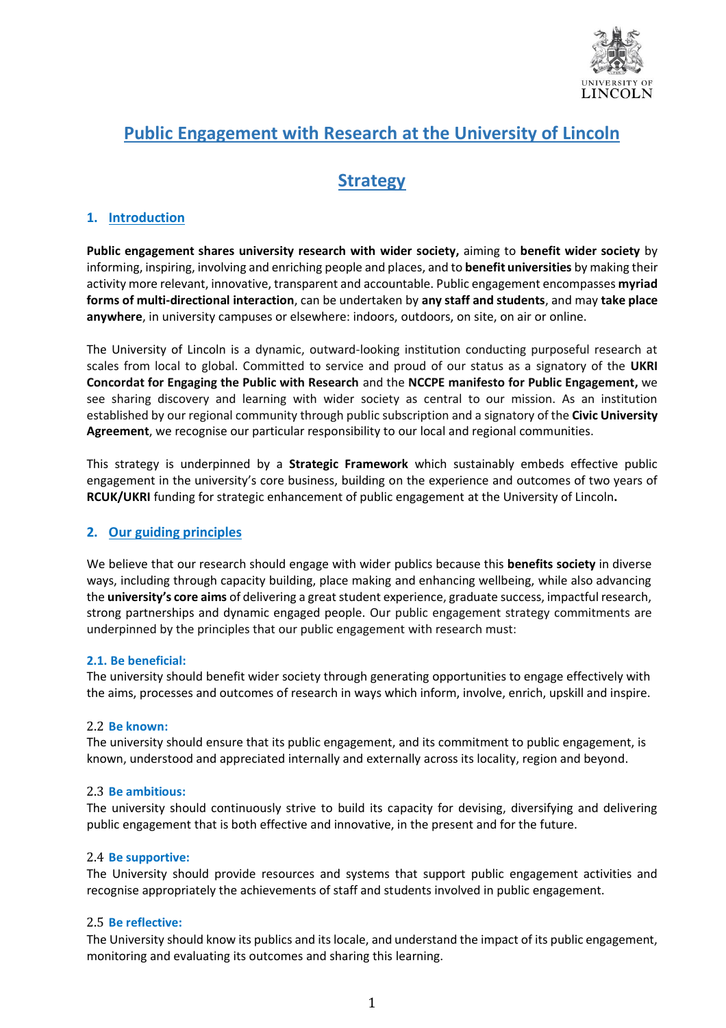

# **Public Engagement with Research at the University of Lincoln**

# **Strategy**

## **1. Introduction**

**Public engagement shares university research with wider society,** aiming to **benefit wider society** by informing, inspiring, involving and enriching people and places, and to **benefit universities** by making their activity more relevant, innovative, transparent and accountable. Public engagement encompasses **myriad forms of multi-directional interaction**, can be undertaken by **any staff and students**, and may **take place anywhere**, in university campuses or elsewhere: indoors, outdoors, on site, on air or online.

The University of Lincoln is a dynamic, outward-looking institution conducting purposeful research at scales from local to global. Committed to service and proud of our status as a signatory of the **UKRI Concordat for Engaging the Public with Research** and the **NCCPE manifesto for Public Engagement,** we see sharing discovery and learning with wider society as central to our mission. As an institution established by our regional community through public subscription and a signatory of the **Civic University Agreement**, we recognise our particular responsibility to our local and regional communities.

This strategy is underpinned by a **Strategic Framework** which sustainably embeds effective public engagement in the university's core business, building on the experience and outcomes of two years of **RCUK/UKRI** funding for strategic enhancement of public engagement at the University of Lincoln**.** 

## **2. Our guiding principles**

We believe that our research should engage with wider publics because this **benefits society** in diverse ways, including through capacity building, place making and enhancing wellbeing, while also advancing the **university's core aims** of delivering a great student experience, graduate success, impactful research, strong partnerships and dynamic engaged people. Our public engagement strategy commitments are underpinned by the principles that our public engagement with research must:

## **2.1. Be beneficial:**

The university should benefit wider society through generating opportunities to engage effectively with the aims, processes and outcomes of research in ways which inform, involve, enrich, upskill and inspire.

#### 2.2 **Be known:**

The university should ensure that its public engagement, and its commitment to public engagement, is known, understood and appreciated internally and externally across its locality, region and beyond.

#### 2.3 **Be ambitious:**

The university should continuously strive to build its capacity for devising, diversifying and delivering public engagement that is both effective and innovative, in the present and for the future.

#### 2.4 **Be supportive:**

The University should provide resources and systems that support public engagement activities and recognise appropriately the achievements of staff and students involved in public engagement.

## 2.5 **Be reflective:**

The University should know its publics and its locale, and understand the impact of its public engagement, monitoring and evaluating its outcomes and sharing this learning.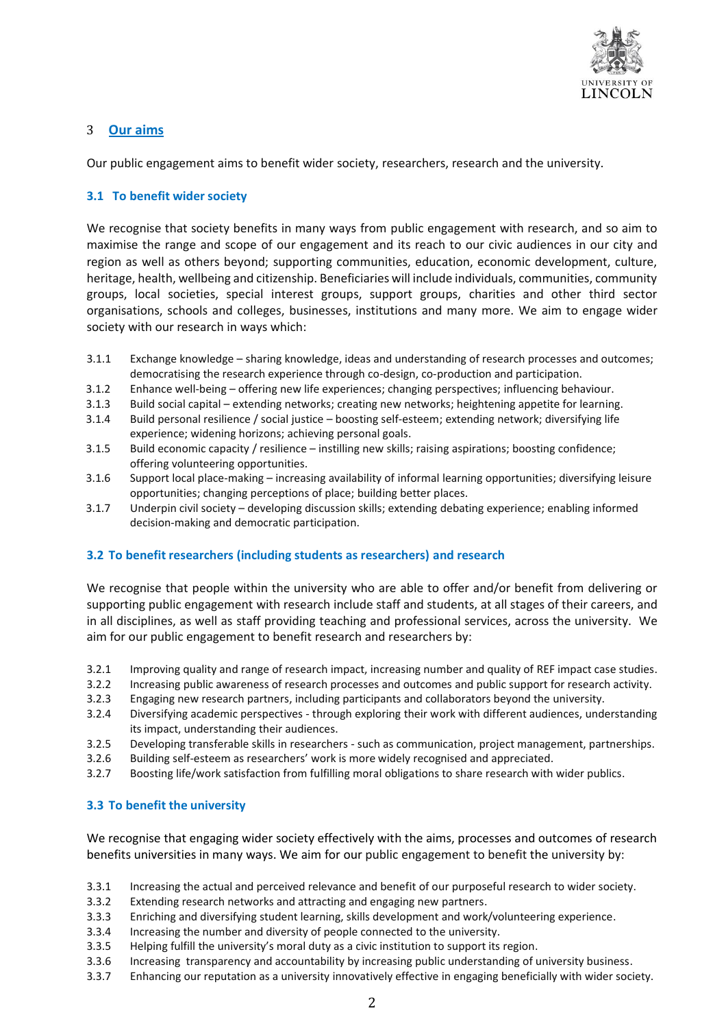

## 3 **Our aims**

Our public engagement aims to benefit wider society, researchers, research and the university.

#### **3.1 To benefit wider society**

We recognise that society benefits in many ways from public engagement with research, and so aim to maximise the range and scope of our engagement and its reach to our civic audiences in our city and region as well as others beyond; supporting communities, education, economic development, culture, heritage, health, wellbeing and citizenship. Beneficiaries will include individuals, communities, community groups, local societies, special interest groups, support groups, charities and other third sector organisations, schools and colleges, businesses, institutions and many more. We aim to engage wider society with our research in ways which:

- 3.1.1 Exchange knowledge sharing knowledge, ideas and understanding of research processes and outcomes; democratising the research experience through co-design, co-production and participation.
- 3.1.2 Enhance well-being offering new life experiences; changing perspectives; influencing behaviour.
- 3.1.3 Build social capital extending networks; creating new networks; heightening appetite for learning.
- 3.1.4 Build personal resilience / social justice boosting self-esteem; extending network; diversifying life experience; widening horizons; achieving personal goals.
- 3.1.5 Build economic capacity / resilience instilling new skills; raising aspirations; boosting confidence; offering volunteering opportunities.
- 3.1.6 Support local place-making increasing availability of informal learning opportunities; diversifying leisure opportunities; changing perceptions of place; building better places.
- 3.1.7 Underpin civil society developing discussion skills; extending debating experience; enabling informed decision-making and democratic participation.

#### **3.2 To benefit researchers (including students as researchers) and research**

We recognise that people within the university who are able to offer and/or benefit from delivering or supporting public engagement with research include staff and students, at all stages of their careers, and in all disciplines, as well as staff providing teaching and professional services, across the university. We aim for our public engagement to benefit research and researchers by:

- 3.2.1 Improving quality and range of research impact, increasing number and quality of REF impact case studies.
- 3.2.2 Increasing public awareness of research processes and outcomes and public support for research activity.
- 3.2.3 Engaging new research partners, including participants and collaborators beyond the university.
- 3.2.4 Diversifying academic perspectives through exploring their work with different audiences, understanding its impact, understanding their audiences.
- 3.2.5 Developing transferable skills in researchers such as communication, project management, partnerships.
- 3.2.6 Building self-esteem as researchers' work is more widely recognised and appreciated.
- 3.2.7 Boosting life/work satisfaction from fulfilling moral obligations to share research with wider publics.

#### **3.3 To benefit the university**

We recognise that engaging wider society effectively with the aims, processes and outcomes of research benefits universities in many ways. We aim for our public engagement to benefit the university by:

- 3.3.1 Increasing the actual and perceived relevance and benefit of our purposeful research to wider society.
- 3.3.2 Extending research networks and attracting and engaging new partners.
- 3.3.3 Enriching and diversifying student learning, skills development and work/volunteering experience.
- 3.3.4 Increasing the number and diversity of people connected to the university.
- 3.3.5 Helping fulfill the university's moral duty as a civic institution to support its region.
- 3.3.6 Increasing transparency and accountability by increasing public understanding of university business.
- 3.3.7 Enhancing our reputation as a university innovatively effective in engaging beneficially with wider society.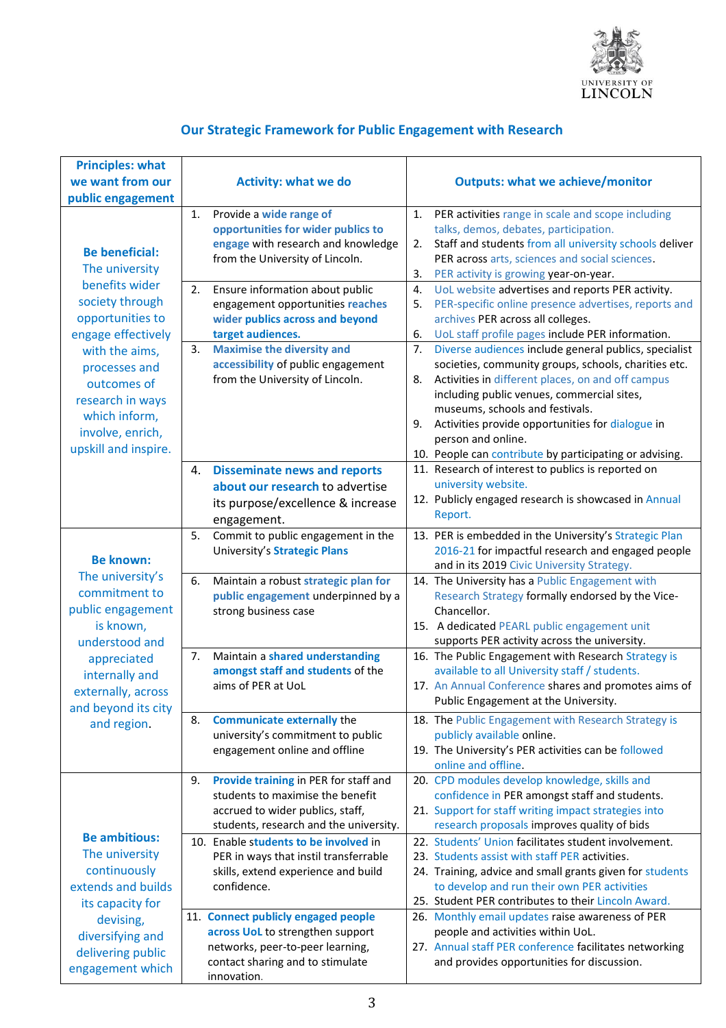

## **Our Strategic Framework for Public Engagement with Research**

| <b>Principles: what</b> |                                                                      |                                                                                                                      |
|-------------------------|----------------------------------------------------------------------|----------------------------------------------------------------------------------------------------------------------|
| we want from our        | <b>Activity: what we do</b>                                          | <b>Outputs: what we achieve/monitor</b>                                                                              |
| public engagement       |                                                                      |                                                                                                                      |
|                         | Provide a wide range of<br>1.                                        | PER activities range in scale and scope including<br>1.                                                              |
|                         | opportunities for wider publics to                                   | talks, demos, debates, participation.                                                                                |
| <b>Be beneficial:</b>   | engage with research and knowledge                                   | Staff and students from all university schools deliver<br>2.                                                         |
| The university          | from the University of Lincoln.                                      | PER across arts, sciences and social sciences.                                                                       |
| benefits wider          |                                                                      | PER activity is growing year-on-year.<br>3.                                                                          |
| society through         | 2.<br>Ensure information about public                                | UoL website advertises and reports PER activity.<br>4.<br>PER-specific online presence advertises, reports and<br>5. |
| opportunities to        | engagement opportunities reaches<br>wider publics across and beyond  | archives PER across all colleges.                                                                                    |
| engage effectively      | target audiences.                                                    | 6.<br>UoL staff profile pages include PER information.                                                               |
| with the aims,          | <b>Maximise the diversity and</b><br>3.                              | Diverse audiences include general publics, specialist<br>7.                                                          |
| processes and           | accessibility of public engagement                                   | societies, community groups, schools, charities etc.                                                                 |
| outcomes of             | from the University of Lincoln.                                      | Activities in different places, on and off campus<br>8.                                                              |
| research in ways        |                                                                      | including public venues, commercial sites,                                                                           |
| which inform,           |                                                                      | museums, schools and festivals.                                                                                      |
| involve, enrich,        |                                                                      | Activities provide opportunities for dialogue in<br>9.                                                               |
| upskill and inspire.    |                                                                      | person and online.                                                                                                   |
|                         |                                                                      | 10. People can contribute by participating or advising.                                                              |
|                         | <b>Disseminate news and reports</b><br>4.                            | 11. Research of interest to publics is reported on<br>university website.                                            |
|                         | about our research to advertise                                      | 12. Publicly engaged research is showcased in Annual                                                                 |
|                         | its purpose/excellence & increase                                    | Report.                                                                                                              |
|                         | engagement.                                                          |                                                                                                                      |
|                         | 5.<br>Commit to public engagement in the                             | 13. PER is embedded in the University's Strategic Plan                                                               |
| <b>Be known:</b>        | University's Strategic Plans                                         | 2016-21 for impactful research and engaged people<br>and in its 2019 Civic University Strategy.                      |
| The university's        | Maintain a robust strategic plan for<br>6.                           | 14. The University has a Public Engagement with                                                                      |
| commitment to           | public engagement underpinned by a                                   | Research Strategy formally endorsed by the Vice-                                                                     |
| public engagement       | strong business case                                                 | Chancellor.                                                                                                          |
| is known,               |                                                                      | 15. A dedicated PEARL public engagement unit                                                                         |
| understood and          |                                                                      | supports PER activity across the university.                                                                         |
| appreciated             | Maintain a shared understanding<br>7.                                | 16. The Public Engagement with Research Strategy is                                                                  |
| internally and          | amongst staff and students of the                                    | available to all University staff / students.                                                                        |
| externally, across      | aims of PER at UoL                                                   | 17. An Annual Conference shares and promotes aims of                                                                 |
| and beyond its city     |                                                                      | Public Engagement at the University.                                                                                 |
| and region.             | <b>Communicate externally the</b><br>8.                              | 18. The Public Engagement with Research Strategy is                                                                  |
|                         | university's commitment to public                                    | publicly available online.                                                                                           |
|                         | engagement online and offline                                        | 19. The University's PER activities can be followed<br>online and offline.                                           |
|                         | Provide training in PER for staff and<br>9.                          | 20. CPD modules develop knowledge, skills and                                                                        |
|                         | students to maximise the benefit                                     | confidence in PER amongst staff and students.                                                                        |
|                         | accrued to wider publics, staff,                                     | 21. Support for staff writing impact strategies into                                                                 |
|                         | students, research and the university.                               | research proposals improves quality of bids                                                                          |
| <b>Be ambitious:</b>    | 10. Enable students to be involved in                                | 22. Students' Union facilitates student involvement.                                                                 |
| The university          | PER in ways that instil transferrable                                | 23. Students assist with staff PER activities.                                                                       |
| continuously            | skills, extend experience and build                                  | 24. Training, advice and small grants given for students                                                             |
| extends and builds      | confidence.                                                          | to develop and run their own PER activities                                                                          |
| its capacity for        |                                                                      | 25. Student PER contributes to their Lincoln Award.                                                                  |
| devising,               | 11. Connect publicly engaged people                                  | 26. Monthly email updates raise awareness of PER<br>people and activities within UoL.                                |
| diversifying and        | across UoL to strengthen support<br>networks, peer-to-peer learning, | 27. Annual staff PER conference facilitates networking                                                               |
| delivering public       | contact sharing and to stimulate                                     | and provides opportunities for discussion.                                                                           |
| engagement which        | innovation.                                                          |                                                                                                                      |